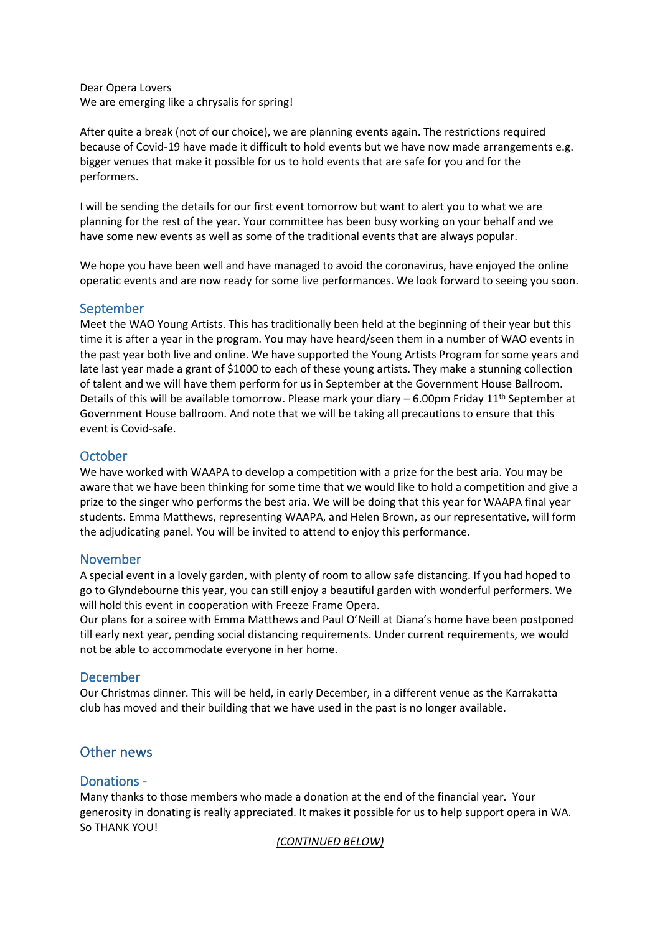Dear Opera Lovers We are emerging like a chrysalis for spring!

After quite a break (not of our choice), we are planning events again. The restrictions required because of Covid-19 have made it difficult to hold events but we have now made arrangements e.g. bigger venues that make it possible for us to hold events that are safe for you and for the performers.

I will be sending the details for our first event tomorrow but want to alert you to what we are planning for the rest of the year. Your committee has been busy working on your behalf and we have some new events as well as some of the traditional events that are always popular.

We hope you have been well and have managed to avoid the coronavirus, have enjoyed the online operatic events and are now ready for some live performances. We look forward to seeing you soon.

### September

Meet the WAO Young Artists. This has traditionally been held at the beginning of their year but this time it is after a year in the program. You may have heard/seen them in a number of WAO events in the past year both live and online. We have supported the Young Artists Program for some years and late last year made a grant of \$1000 to each of these young artists. They make a stunning collection of talent and we will have them perform for us in September at the Government House Ballroom. Details of this will be available tomorrow. Please mark your diary - 6.00pm Friday 11<sup>th</sup> September at Government House ballroom. And note that we will be taking all precautions to ensure that this event is Covid-safe.

### **October**

We have worked with WAAPA to develop a competition with a prize for the best aria. You may be aware that we have been thinking for some time that we would like to hold a competition and give a prize to the singer who performs the best aria. We will be doing that this year for WAAPA final year students. Emma Matthews, representing WAAPA, and Helen Brown, as our representative, will form the adjudicating panel. You will be invited to attend to enjoy this performance.

## November

A special event in a lovely garden, with plenty of room to allow safe distancing. If you had hoped to go to Glyndebourne this year, you can still enjoy a beautiful garden with wonderful performers. We will hold this event in cooperation with Freeze Frame Opera.

Our plans for a soiree with Emma Matthews and Paul O'Neill at Diana's home have been postponed till early next year, pending social distancing requirements. Under current requirements, we would not be able to accommodate everyone in her home.

## December

Our Christmas dinner. This will be held, in early December, in a different venue as the Karrakatta club has moved and their building that we have used in the past is no longer available.

# Other news

#### Donations -

Many thanks to those members who made a donation at the end of the financial year. Your generosity in donating is really appreciated. It makes it possible for us to help support opera in WA. So THANK YOU!

#### *(CONTINUED BELOW)*